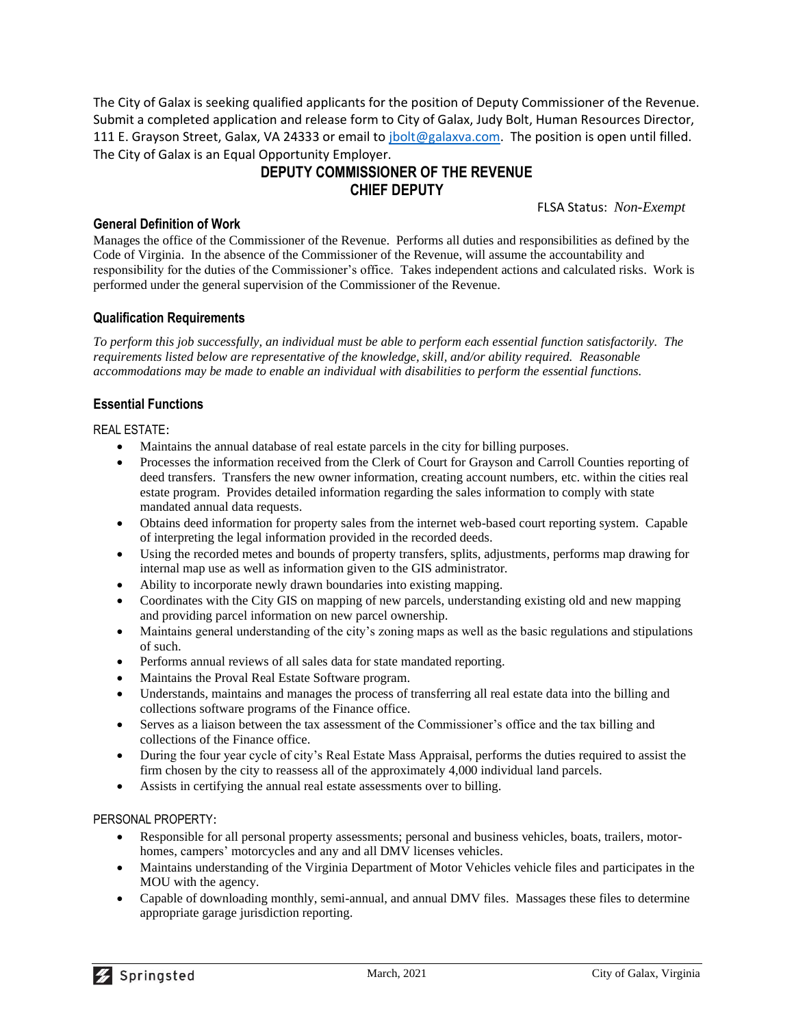The City of Galax is seeking qualified applicants for the position of Deputy Commissioner of the Revenue. Submit a completed application and release form to City of Galax, Judy Bolt, Human Resources Director, 111 E. Grayson Street, Galax, VA 24333 or email to [jbolt@galaxva.com.](mailto:jbolt@galaxva.com) The position is open until filled. The City of Galax is an Equal Opportunity Employer.

# **DEPUTY COMMISSIONER OF THE REVENUE CHIEF DEPUTY**

FLSA Status: *Non-Exempt*

# **General Definition of Work**

Manages the office of the Commissioner of the Revenue. Performs all duties and responsibilities as defined by the Code of Virginia. In the absence of the Commissioner of the Revenue, will assume the accountability and responsibility for the duties of the Commissioner's office. Takes independent actions and calculated risks. Work is performed under the general supervision of the Commissioner of the Revenue.

# **Qualification Requirements**

*To perform this job successfully, an individual must be able to perform each essential function satisfactorily. The requirements listed below are representative of the knowledge, skill, and/or ability required. Reasonable accommodations may be made to enable an individual with disabilities to perform the essential functions.*

# **Essential Functions**

REAL ESTATE:

- Maintains the annual database of real estate parcels in the city for billing purposes.
- Processes the information received from the Clerk of Court for Grayson and Carroll Counties reporting of deed transfers. Transfers the new owner information, creating account numbers, etc. within the cities real estate program. Provides detailed information regarding the sales information to comply with state mandated annual data requests.
- Obtains deed information for property sales from the internet web-based court reporting system. Capable of interpreting the legal information provided in the recorded deeds.
- Using the recorded metes and bounds of property transfers, splits, adjustments, performs map drawing for internal map use as well as information given to the GIS administrator.
- Ability to incorporate newly drawn boundaries into existing mapping.
- Coordinates with the City GIS on mapping of new parcels, understanding existing old and new mapping and providing parcel information on new parcel ownership.
- Maintains general understanding of the city's zoning maps as well as the basic regulations and stipulations of such.
- Performs annual reviews of all sales data for state mandated reporting.
- Maintains the Proval Real Estate Software program.
- Understands, maintains and manages the process of transferring all real estate data into the billing and collections software programs of the Finance office.
- Serves as a liaison between the tax assessment of the Commissioner's office and the tax billing and collections of the Finance office.
- During the four year cycle of city's Real Estate Mass Appraisal, performs the duties required to assist the firm chosen by the city to reassess all of the approximately 4,000 individual land parcels.
- Assists in certifying the annual real estate assessments over to billing.

#### PERSONAL PROPERTY:

- Responsible for all personal property assessments; personal and business vehicles, boats, trailers, motorhomes, campers' motorcycles and any and all DMV licenses vehicles.
- Maintains understanding of the Virginia Department of Motor Vehicles vehicle files and participates in the MOU with the agency.
- Capable of downloading monthly, semi-annual, and annual DMV files. Massages these files to determine appropriate garage jurisdiction reporting.